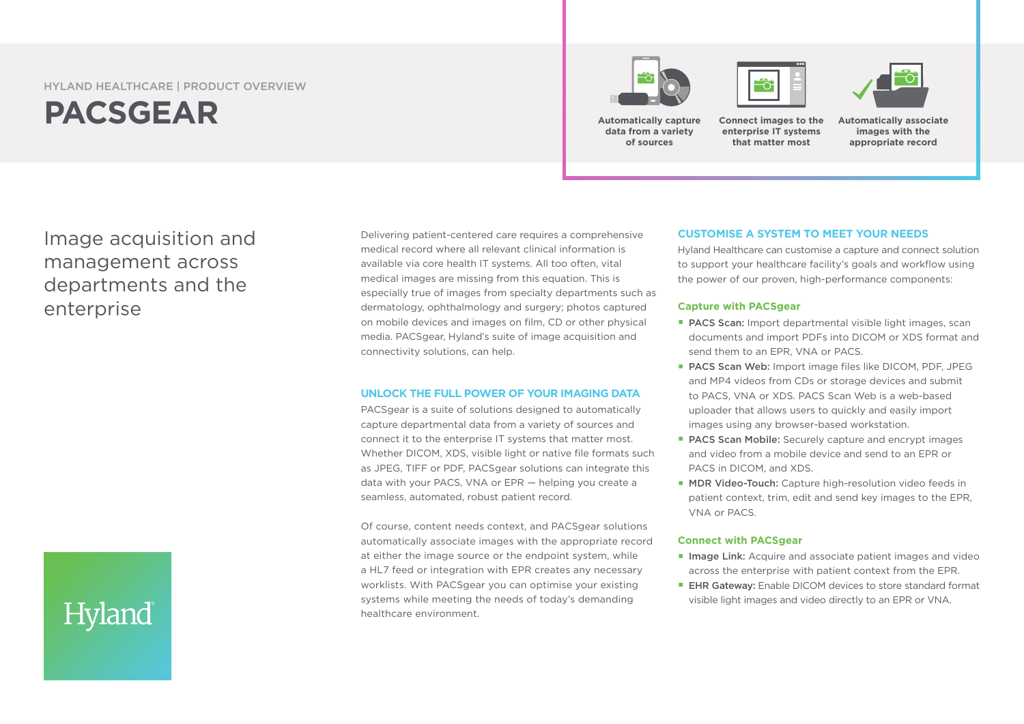### HYLAND HEALTHCARE | PRODUCT OVERVIEW

# **PACSGEAR**







**Automatically capture data from a variety of sources**

**Connect images to the enterprise IT systems that matter most**



## Image acquisition and management across departments and the enterprise

Delivering patient-centered care requires a comprehensive medical record where all relevant clinical information is available via core health IT systems. All too often, vital medical images are missing from this equation. This is especially true of images from specialty departments such as dermatology, ophthalmology and surgery; photos captured on mobile devices and images on film, CD or other physical media. PACSgear, Hyland's suite of image acquisition and connectivity solutions, can help.

#### **UNLOCK THE FULL POWER OF YOUR IMAGING DATA**

PACSgear is a suite of solutions designed to automatically capture departmental data from a variety of sources and connect it to the enterprise IT systems that matter most. Whether DICOM, XDS, visible light or native file formats such as JPEG, TIFF or PDF, PACSgear solutions can integrate this data with your PACS, VNA or EPR — helping you create a seamless, automated, robust patient record.

Of course, content needs context, and PACSgear solutions automatically associate images with the appropriate record at either the image source or the endpoint system, while a HL7 feed or integration with EPR creates any necessary worklists. With PACSgear you can optimise your existing systems while meeting the needs of today's demanding healthcare environment.

#### **CUSTOMISE A SYSTEM TO MEET YOUR NEEDS**

Hyland Healthcare can customise a capture and connect solution to support your healthcare facility's goals and workflow using the power of our proven, high-performance components:

#### **Capture with PACSgear**

- **PACS Scan:** Import departmental visible light images, scan documents and import PDFs into DICOM or XDS format and send them to an EPR, VNA or PACS.
- **PACS Scan Web:** Import image files like DICOM, PDF, JPEG and MP4 videos from CDs or storage devices and submit to PACS, VNA or XDS. PACS Scan Web is a web-based uploader that allows users to quickly and easily import images using any browser-based workstation.
- **PACS Scan Mobile:** Securely capture and encrypt images and video from a mobile device and send to an EPR or PACS in DICOM, and XDS.
- **MDR Video-Touch:** Capture high-resolution video feeds in patient context, trim, edit and send key images to the EPR, VNA or PACS.

#### **Connect with PACSgear**

- **Image Link:** Acquire and associate patient images and video across the enterprise with patient context from the EPR.
- **EHR Gateway:** Enable DICOM devices to store standard format visible light images and video directly to an EPR or VNA.

# Hyland